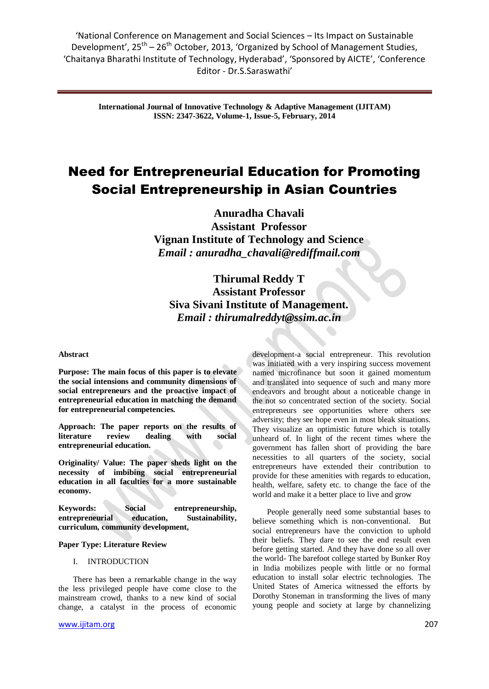'National Conference on Management and Social Sciences – Its Impact on Sustainable Development', 25<sup>th</sup> – 26<sup>th</sup> October, 2013, 'Organized by School of Management Studies, 'Chaitanya Bharathi Institute of Technology, Hyderabad', 'Sponsored by AICTE', 'Conference Editor - Dr.S.Saraswathi'

**International Journal of Innovative Technology & Adaptive Management (IJITAM) ISSN: 2347-3622, Volume-1, Issue-5, February, 2014**

# Need for Entrepreneurial Education for Promoting Social Entrepreneurship in Asian Countries

**Anuradha Chavali Assistant Professor Vignan Institute of Technology and Science** *Email : [anuradha\\_chavali@rediffmail.com](mailto:anuradha_chavali@rediffmail.com)*

**Thirumal Reddy T Assistant Professor Siva Sivani Institute of Management.** *Email : thirumalreddyt@ssim.ac.in*

#### **Abstract**

**Purpose: The main focus of this paper is to elevate the social intensions and community dimensions of social entrepreneurs and the proactive impact of entrepreneurial education in matching the demand for entrepreneurial competencies.**

**Approach: The paper reports on the results of literature review dealing with social entrepreneurial education.**

**Originality/ Value: The paper sheds light on the necessity of imbibing social entrepreneurial education in all faculties for a more sustainable economy.**

Keywords: Social entrepreneurship, **entrepreneurial education, Sustainability, curriculum, community development,**

# **Paper Type: Literature Review**

#### I. INTRODUCTION

There has been a remarkable change in the way the less privileged people have come close to the mainstream crowd, thanks to a new kind of social change, a catalyst in the process of economic

development-a social entrepreneur. This revolution was initiated with a very inspiring success movement named microfinance but soon it gained momentum and translated into sequence of such and many more endeavors and brought about a noticeable change in the not so concentrated section of the society. Social entrepreneurs see opportunities where others see adversity; they see hope even in most bleak situations. They visualize an optimistic future which is totally unheard of. In light of the recent times where the government has fallen short of providing the bare necessities to all quarters of the society, social entrepreneurs have extended their contribution to provide for these amenities with regards to education, health, welfare, safety etc. to change the face of the world and make it a better place to live and grow

People generally need some substantial bases to believe something which is non-conventional. But social entrepreneurs have the conviction to uphold their beliefs. They dare to see the end result even before getting started. And they have done so all over the world- The barefoot college started by Bunker Roy in India mobilizes people with little or no formal education to install solar electric technologies. The United States of America witnessed the efforts by Dorothy Stoneman in transforming the lives of many young people and society at large by channelizing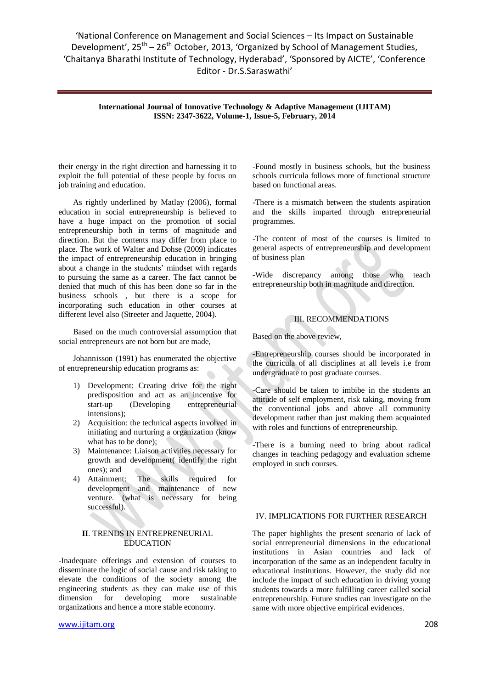'National Conference on Management and Social Sciences – Its Impact on Sustainable Development', 25<sup>th</sup> – 26<sup>th</sup> October, 2013, 'Organized by School of Management Studies, 'Chaitanya Bharathi Institute of Technology, Hyderabad', 'Sponsored by AICTE', 'Conference Editor - Dr.S.Saraswathi'

**International Journal of Innovative Technology & Adaptive Management (IJITAM) ISSN: 2347-3622, Volume-1, Issue-5, February, 2014**

their energy in the right direction and harnessing it to exploit the full potential of these people by focus on job training and education.

As rightly underlined by Matlay (2006), formal education in social entrepreneurship is believed to have a huge impact on the promotion of social entrepreneurship both in terms of magnitude and direction. But the contents may differ from place to place. The work of Walter and Dohse (2009) indicates the impact of entrepreneurship education in bringing about a change in the students' mindset with regards to pursuing the same as a career. The fact cannot be denied that much of this has been done so far in the business schools , but there is a scope for incorporating such education in other courses at different level also (Streeter and Jaquette, 2004).

Based on the much controversial assumption that social entrepreneurs are not born but are made,

Johannisson (1991) has enumerated the objective of entrepreneurship education programs as:

- 1) Development: Creating drive for the right predisposition and act as an incentive for start-up (Developing entrepreneurial intensions);
- 2) Acquisition: the technical aspects involved in initiating and nurturing a organization (know what has to be done);
- 3) Maintenance: Liaison activities necessary for growth and development( identify the right ones); and
- 4) Attainment: The skills required for development and maintenance of new venture. (what is necessary for being successful).

### **II**. TRENDS IN ENTREPRENEURIAL EDUCATION

-Inadequate offerings and extension of courses to disseminate the logic of social cause and risk taking to elevate the conditions of the society among the engineering students as they can make use of this dimension for developing more sustainable organizations and hence a more stable economy.

-Found mostly in business schools, but the business schools curricula follows more of functional structure based on functional areas.

-There is a mismatch between the students aspiration and the skills imparted through entrepreneurial programmes.

-The content of most of the courses is limited to general aspects of entrepreneurship and development of business plan

-Wide discrepancy among those who teach entrepreneurship both in magnitude and direction.

# III. RECOMMENDATIONS

Based on the above review,

-Entrepreneurship courses should be incorporated in the curricula of all disciplines at all levels i.e from undergraduate to post graduate courses.

-Care should be taken to imbibe in the students an attitude of self employment, risk taking, moving from the conventional jobs and above all community development rather than just making them acquainted with roles and functions of entrepreneurship.

-There is a burning need to bring about radical changes in teaching pedagogy and evaluation scheme employed in such courses.

# IV. IMPLICATIONS FOR FURTHER RESEARCH

The paper highlights the present scenario of lack of social entrepreneurial dimensions in the educational institutions in Asian countries and lack of incorporation of the same as an independent faculty in educational institutions. However, the study did not include the impact of such education in driving young students towards a more fulfilling career called social entrepreneurship. Future studies can investigate on the same with more objective empirical evidences.